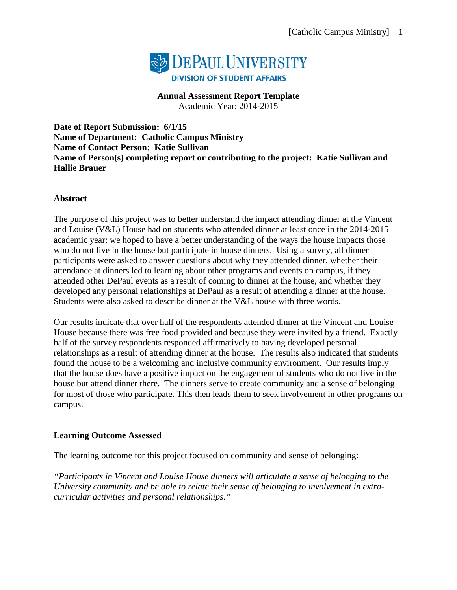

**Annual Assessment Report Template** Academic Year: 2014-2015

**Date of Report Submission: 6/1/15 Name of Department: Catholic Campus Ministry Name of Contact Person: Katie Sullivan Name of Person(s) completing report or contributing to the project: Katie Sullivan and Hallie Brauer**

#### **Abstract**

The purpose of this project was to better understand the impact attending dinner at the Vincent and Louise (V&L) House had on students who attended dinner at least once in the 2014-2015 academic year; we hoped to have a better understanding of the ways the house impacts those who do not live in the house but participate in house dinners. Using a survey, all dinner participants were asked to answer questions about why they attended dinner, whether their attendance at dinners led to learning about other programs and events on campus, if they attended other DePaul events as a result of coming to dinner at the house, and whether they developed any personal relationships at DePaul as a result of attending a dinner at the house. Students were also asked to describe dinner at the V&L house with three words.

Our results indicate that over half of the respondents attended dinner at the Vincent and Louise House because there was free food provided and because they were invited by a friend. Exactly half of the survey respondents responded affirmatively to having developed personal relationships as a result of attending dinner at the house. The results also indicated that students found the house to be a welcoming and inclusive community environment. Our results imply that the house does have a positive impact on the engagement of students who do not live in the house but attend dinner there. The dinners serve to create community and a sense of belonging for most of those who participate. This then leads them to seek involvement in other programs on campus.

#### **Learning Outcome Assessed**

The learning outcome for this project focused on community and sense of belonging:

*"Participants in Vincent and Louise House dinners will articulate a sense of belonging to the University community and be able to relate their sense of belonging to involvement in extracurricular activities and personal relationships."*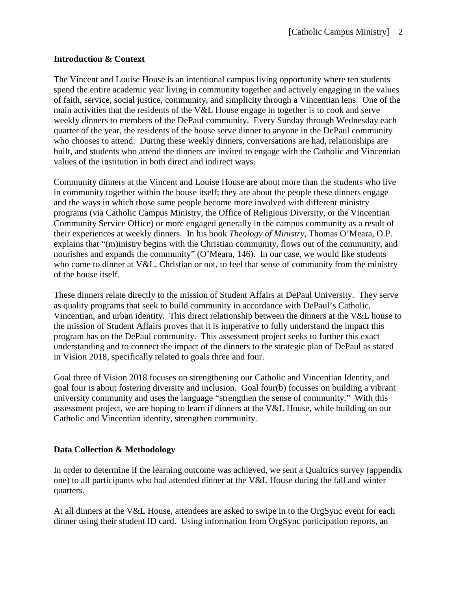#### **Introduction & Context**

The Vincent and Louise House is an intentional campus living opportunity where ten students spend the entire academic year living in community together and actively engaging in the values of faith, service, social justice, community, and simplicity through a Vincentian lens. One of the main activities that the residents of the V&L House engage in together is to cook and serve weekly dinners to members of the DePaul community. Every Sunday through Wednesday each quarter of the year, the residents of the house serve dinner to anyone in the DePaul community who chooses to attend. During these weekly dinners, conversations are had, relationships are built, and students who attend the dinners are invited to engage with the Catholic and Vincentian values of the institution in both direct and indirect ways.

Community dinners at the Vincent and Louise House are about more than the students who live in community together within the house itself; they are about the people these dinners engage and the ways in which those same people become more involved with different ministry programs (via Catholic Campus Ministry, the Office of Religious Diversity, or the Vincentian Community Service Office) or more engaged generally in the campus community as a result of their experiences at weekly dinners. In his book *Theology of Ministry*, Thomas O'Meara, O.P. explains that "(m)inistry begins with the Christian community, flows out of the community, and nourishes and expands the community" (O'Meara, 146). In our case, we would like students who come to dinner at V&L, Christian or not, to feel that sense of community from the ministry of the house itself.

These dinners relate directly to the mission of Student Affairs at DePaul University. They serve as quality programs that seek to build community in accordance with DePaul's Catholic, Vincentian, and urban identity. This direct relationship between the dinners at the V&L house to the mission of Student Affairs proves that it is imperative to fully understand the impact this program has on the DePaul community. This assessment project seeks to further this exact understanding and to connect the impact of the dinners to the strategic plan of DePaul as stated in Vision 2018, specifically related to goals three and four.

Goal three of Vision 2018 focuses on strengthening our Catholic and Vincentian Identity, and goal four is about fostering diversity and inclusion. Goal four(b) focusses on building a vibrant university community and uses the language "strengthen the sense of community." With this assessment project, we are hoping to learn if dinners at the V&L House, while building on our Catholic and Vincentian identity, strengthen community.

#### **Data Collection & Methodology**

In order to determine if the learning outcome was achieved, we sent a Qualtrics survey (appendix one) to all participants who had attended dinner at the V&L House during the fall and winter quarters.

At all dinners at the V&L House, attendees are asked to swipe in to the OrgSync event for each dinner using their student ID card. Using information from OrgSync participation reports, an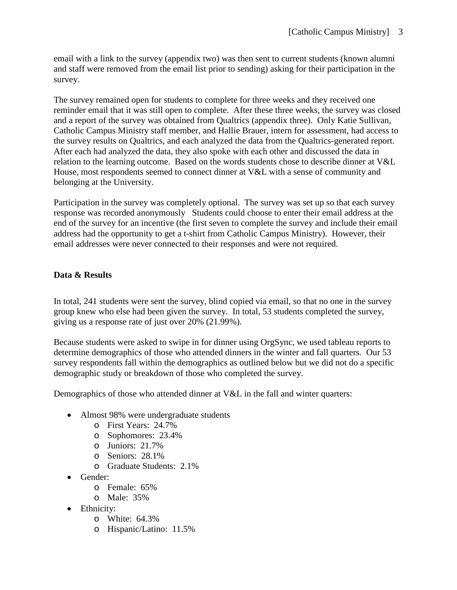email with a link to the survey (appendix two) was then sent to current students (known alumni and staff were removed from the email list prior to sending) asking for their participation in the survey.

The survey remained open for students to complete for three weeks and they received one reminder email that it was still open to complete. After these three weeks, the survey was closed and a report of the survey was obtained from Qualtrics (appendix three). Only Katie Sullivan, Catholic Campus Ministry staff member, and Hallie Brauer, intern for assessment, had access to the survey results on Qualtrics, and each analyzed the data from the Qualtrics-generated report. After each had analyzed the data, they also spoke with each other and discussed the data in relation to the learning outcome. Based on the words students chose to describe dinner at V&L House, most respondents seemed to connect dinner at V&L with a sense of community and belonging at the University.

Participation in the survey was completely optional. The survey was set up so that each survey response was recorded anonymously Students could choose to enter their email address at the end of the survey for an incentive (the first seven to complete the survey and include their email address had the opportunity to get a t-shirt from Catholic Campus Ministry). However, their email addresses were never connected to their responses and were not required.

### **Data & Results**

In total, 241 students were sent the survey, blind copied via email, so that no one in the survey group knew who else had been given the survey. In total, 53 students completed the survey, giving us a response rate of just over 20% (21.99%).

Because students were asked to swipe in for dinner using OrgSync, we used tableau reports to determine demographics of those who attended dinners in the winter and fall quarters. Our 53 survey respondents fall within the demographics as outlined below but we did not do a specific demographic study or breakdown of those who completed the survey.

Demographics of those who attended dinner at V&L in the fall and winter quarters:

- Almost 98% were undergraduate students
	- o First Years: 24.7%
	- o Sophomores: 23.4%
	- o Juniors: 21.7%
	- o Seniors: 28.1%
	- o Graduate Students: 2.1%
- Gender:
	- o Female: 65%
	- o Male: 35%
- Ethnicity:
	- o White: 64.3%
	- o Hispanic/Latino: 11.5%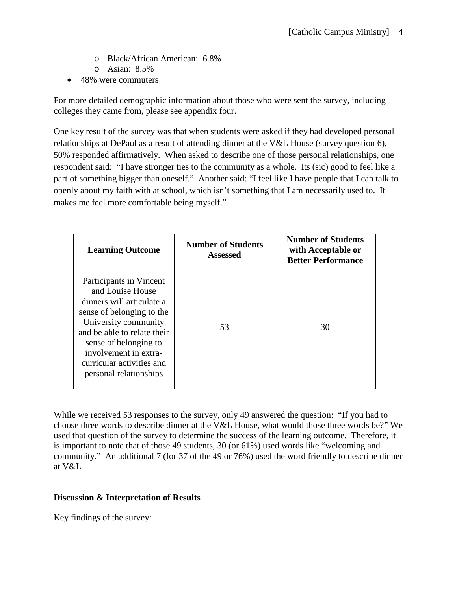- o Black/African American: 6.8%
- o Asian: 8.5%
- 48% were commuters

For more detailed demographic information about those who were sent the survey, including colleges they came from, please see appendix four.

One key result of the survey was that when students were asked if they had developed personal relationships at DePaul as a result of attending dinner at the V&L House (survey question 6), 50% responded affirmatively. When asked to describe one of those personal relationships, one respondent said: "I have stronger ties to the community as a whole. Its (sic) good to feel like a part of something bigger than oneself." Another said: "I feel like I have people that I can talk to openly about my faith with at school, which isn't something that I am necessarily used to. It makes me feel more comfortable being myself."

| <b>Learning Outcome</b>                                                                                                                                                                                                                                               | <b>Number of Students</b><br><b>Assessed</b> | <b>Number of Students</b><br>with Acceptable or<br><b>Better Performance</b> |
|-----------------------------------------------------------------------------------------------------------------------------------------------------------------------------------------------------------------------------------------------------------------------|----------------------------------------------|------------------------------------------------------------------------------|
| Participants in Vincent<br>and Louise House<br>dinners will articulate a<br>sense of belonging to the<br>University community<br>and be able to relate their<br>sense of belonging to<br>involvement in extra-<br>curricular activities and<br>personal relationships | 53                                           | 30                                                                           |

While we received 53 responses to the survey, only 49 answered the question: "If you had to choose three words to describe dinner at the V&L House, what would those three words be?" We used that question of the survey to determine the success of the learning outcome. Therefore, it is important to note that of those 49 students, 30 (or 61%) used words like "welcoming and community." An additional 7 (for 37 of the 49 or 76%) used the word friendly to describe dinner at V&L

#### **Discussion & Interpretation of Results**

Key findings of the survey: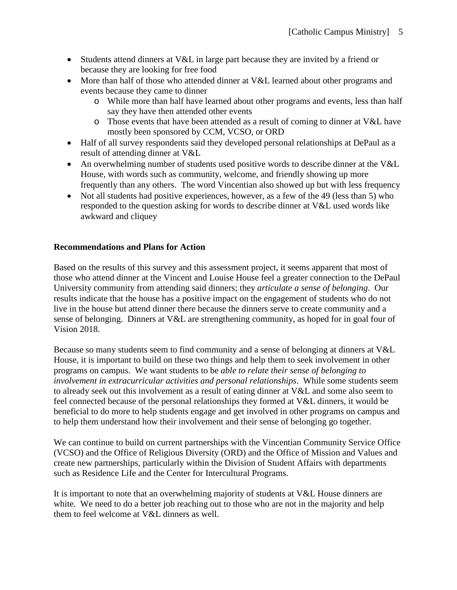- Students attend dinners at V&L in large part because they are invited by a friend or because they are looking for free food
- More than half of those who attended dinner at V&L learned about other programs and events because they came to dinner
	- o While more than half have learned about other programs and events, less than half say they have then attended other events
	- o Those events that have been attended as a result of coming to dinner at V&L have mostly been sponsored by CCM, VCSO, or ORD
- Half of all survey respondents said they developed personal relationships at DePaul as a result of attending dinner at V&L
- An overwhelming number of students used positive words to describe dinner at the V&L House, with words such as community, welcome, and friendly showing up more frequently than any others. The word Vincentian also showed up but with less frequency
- Not all students had positive experiences, however, as a few of the 49 (less than 5) who responded to the question asking for words to describe dinner at V&L used words like awkward and cliquey

### **Recommendations and Plans for Action**

Based on the results of this survey and this assessment project, it seems apparent that most of those who attend dinner at the Vincent and Louise House feel a greater connection to the DePaul University community from attending said dinners; they *articulate a sense of belonging*. Our results indicate that the house has a positive impact on the engagement of students who do not live in the house but attend dinner there because the dinners serve to create community and a sense of belonging. Dinners at V&L are strengthening community, as hoped for in goal four of Vision 2018.

Because so many students seem to find community and a sense of belonging at dinners at V&L House, it is important to build on these two things and help them to seek involvement in other programs on campus. We want students to be *able to relate their sense of belonging to involvement in extracurricular activities and personal relationships*. While some students seem to already seek out this involvement as a result of eating dinner at V&L and some also seem to feel connected because of the personal relationships they formed at V&L dinners, it would be beneficial to do more to help students engage and get involved in other programs on campus and to help them understand how their involvement and their sense of belonging go together.

We can continue to build on current partnerships with the Vincentian Community Service Office (VCSO) and the Office of Religious Diversity (ORD) and the Office of Mission and Values and create new partnerships, particularly within the Division of Student Affairs with departments such as Residence Life and the Center for Intercultural Programs.

It is important to note that an overwhelming majority of students at V&L House dinners are white. We need to do a better job reaching out to those who are not in the majority and help them to feel welcome at V&L dinners as well.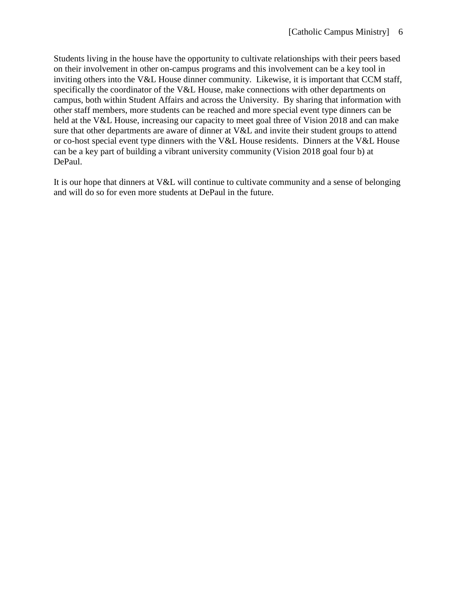Students living in the house have the opportunity to cultivate relationships with their peers based on their involvement in other on-campus programs and this involvement can be a key tool in inviting others into the V&L House dinner community. Likewise, it is important that CCM staff, specifically the coordinator of the V&L House, make connections with other departments on campus, both within Student Affairs and across the University. By sharing that information with other staff members, more students can be reached and more special event type dinners can be held at the V&L House, increasing our capacity to meet goal three of Vision 2018 and can make sure that other departments are aware of dinner at V&L and invite their student groups to attend or co-host special event type dinners with the V&L House residents. Dinners at the V&L House can be a key part of building a vibrant university community (Vision 2018 goal four b) at DePaul.

It is our hope that dinners at V&L will continue to cultivate community and a sense of belonging and will do so for even more students at DePaul in the future.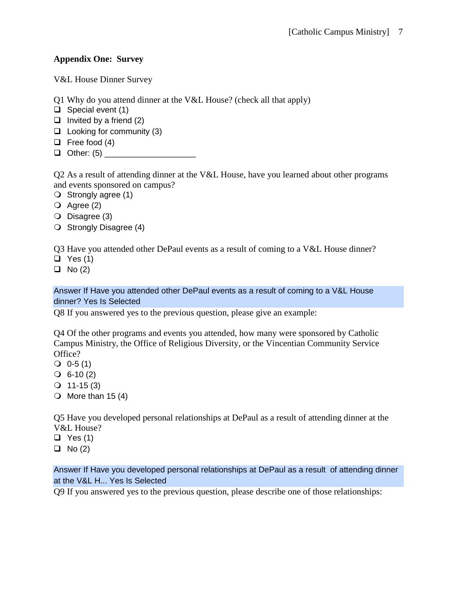### **Appendix One: Survey**

V&L House Dinner Survey

- Q1 Why do you attend dinner at the V&L House? (check all that apply)
- $\Box$  Special event (1)
- $\Box$  Invited by a friend (2)
- $\Box$  Looking for community (3)
- $\Box$  Free food (4)
- $\Box$  Other: (5)

Q2 As a result of attending dinner at the V&L House, have you learned about other programs and events sponsored on campus?

- $\bigcirc$  Strongly agree (1)
- $\overline{Q}$  Agree (2)
- O Disagree (3)
- $\bigcirc$  Strongly Disagree (4)

Q3 Have you attended other DePaul events as a result of coming to a V&L House dinner?

 $\Box$  Yes (1)

 $\Box$  No (2)

#### Answer If Have you attended other DePaul events as a result of coming to a V&L House dinner? Yes Is Selected

Q8 If you answered yes to the previous question, please give an example:

Q4 Of the other programs and events you attended, how many were sponsored by Catholic Campus Ministry, the Office of Religious Diversity, or the Vincentian Community Service Office?

- $\bigcirc$  0-5 (1)
- $\bigcirc$  6-10 (2)
- $Q$  11-15 (3)
- $\bigcirc$  More than 15 (4)

Q5 Have you developed personal relationships at DePaul as a result of attending dinner at the V&L House?

- $\Box$  Yes (1)
- $\Box$  No (2)

Answer If Have you developed personal relationships at DePaul as a result of attending dinner at the V&L H... Yes Is Selected

Q9 If you answered yes to the previous question, please describe one of those relationships: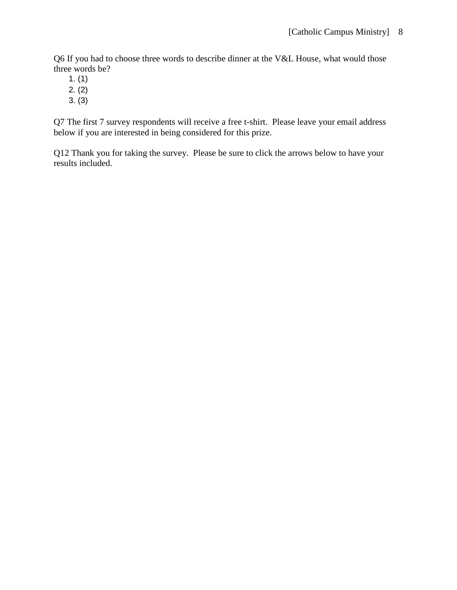Q6 If you had to choose three words to describe dinner at the V&L House, what would those three words be?

- 1. (1)
- 2. (2)
- 3. (3)

Q7 The first 7 survey respondents will receive a free t-shirt. Please leave your email address below if you are interested in being considered for this prize.

Q12 Thank you for taking the survey. Please be sure to click the arrows below to have your results included.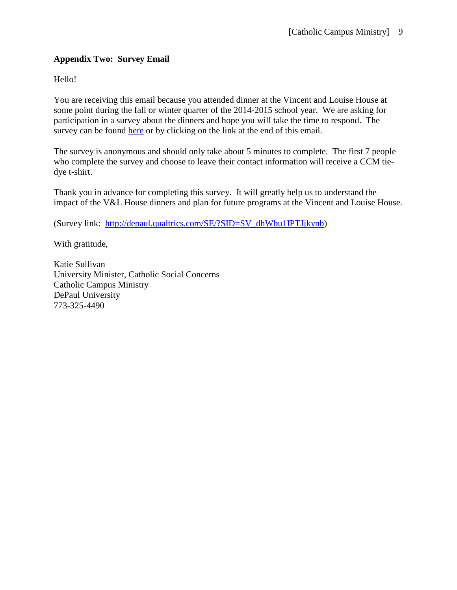### **Appendix Two: Survey Email**

Hello!

You are receiving this email because you attended dinner at the Vincent and Louise House at some point during the fall or winter quarter of the 2014-2015 school year. We are asking for participation in a survey about the dinners and hope you will take the time to respond. The survey can be found [here](http://depaul.qualtrics.com/SE/?SID=SV_dhWbu1IPTJjkynb) or by clicking on the link at the end of this email.

The survey is anonymous and should only take about 5 minutes to complete. The first 7 people who complete the survey and choose to leave their contact information will receive a CCM tiedye t-shirt.

Thank you in advance for completing this survey. It will greatly help us to understand the impact of the V&L House dinners and plan for future programs at the Vincent and Louise House.

(Survey link: [http://depaul.qualtrics.com/SE/?SID=SV\\_dhWbu1IPTJjkynb\)](http://depaul.qualtrics.com/SE/?SID=SV_dhWbu1IPTJjkynb)

With gratitude,

Katie Sullivan University Minister, Catholic Social Concerns Catholic Campus Ministry DePaul University 773-325-4490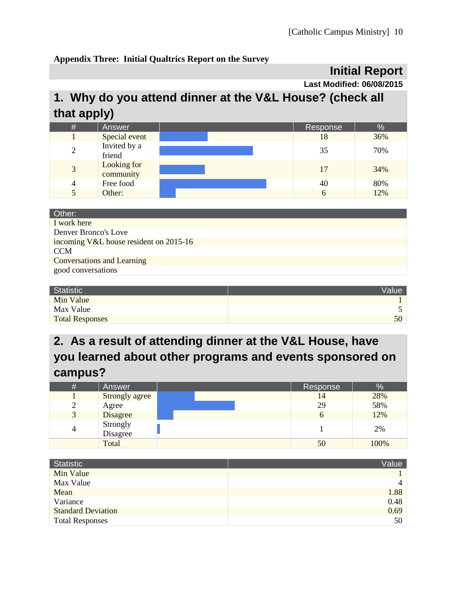### **Appendix Three: Initial Qualtrics Report on the Survey**

### **Initial Report**

**Last Modified: 06/08/2015**

## **1. Why do you attend dinner at the V&L House? (check all that apply)**

| # | Answer                   | Response | $\%$ |
|---|--------------------------|----------|------|
|   | Special event            | 18       | 36%  |
| 2 | Invited by a<br>friend   | 35       | 70%  |
| 3 | Looking for<br>community | 17       | 34%  |
| 4 | Free food                | 40       | 80%  |
|   | Other:                   | 6        | 12%  |

| Other:                                 |
|----------------------------------------|
| I work here                            |
| Denver Bronco's Love                   |
| incoming V&L house resident on 2015-16 |
| <b>CCM</b>                             |
| <b>Conversations and Learning</b>      |
| good conversations                     |

| Statistic              | <b>Value</b> |
|------------------------|--------------|
| Min Value              |              |
| Max Value              |              |
| <b>Total Responses</b> | 50           |

## **2. As a result of attending dinner at the V&L House, have you learned about other programs and events sponsored on campus?**

| # | Answer         | Response | %    |
|---|----------------|----------|------|
|   | Strongly agree | 14       | 28%  |
| ∠ | Agree          | 29       | 58%  |
| 3 | Disagree       |          | 12%  |
| 4 | Strongly       |          | 2%   |
|   | Disagree       |          |      |
|   | Total          | 50       | 100% |

| Statistic                 | Value |
|---------------------------|-------|
| Min Value                 |       |
| Max Value                 | 4     |
| Mean                      | 1.88  |
| Variance                  | 0.48  |
| <b>Standard Deviation</b> | 0.69  |
| <b>Total Responses</b>    | 50    |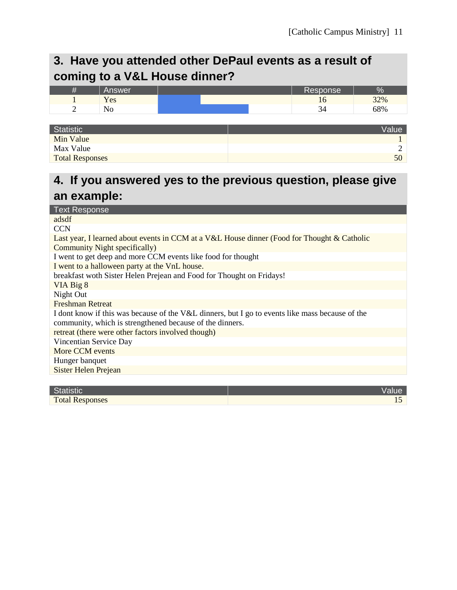### **3. Have you attended other DePaul events as a result of coming to a V&L House dinner?**

| - | Answer |  | Response | 'Ο  |
|---|--------|--|----------|-----|
|   | Yes    |  | 10       | 32% |
| ∼ | 11 V   |  |          | 68% |
|   |        |  |          |     |

| Statistic              | <b>Value</b> |
|------------------------|--------------|
| Min Value              |              |
| Max Value              |              |
| <b>Total Responses</b> | 50           |

### **4. If you answered yes to the previous question, please give an example:**

| <b>Text Response</b>                                                                            |
|-------------------------------------------------------------------------------------------------|
| adsdf                                                                                           |
| <b>CCN</b>                                                                                      |
| Last year, I learned about events in CCM at a V&L House dinner (Food for Thought & Catholic     |
| <b>Community Night specifically)</b>                                                            |
| I went to get deep and more CCM events like food for thought                                    |
| I went to a halloween party at the VnL house.                                                   |
| breakfast woth Sister Helen Prejean and Food for Thought on Fridays!                            |
| VIA Big 8                                                                                       |
| Night Out                                                                                       |
| <b>Freshman Retreat</b>                                                                         |
| I dont know if this was because of the V&L dinners, but I go to events like mass because of the |
| community, which is strengthened because of the dinners.                                        |
| retreat (there were other factors involved though)                                              |
| Vincentian Service Day                                                                          |
| More CCM events                                                                                 |
| Hunger banquet                                                                                  |
| <b>Sister Helen Prejean</b>                                                                     |
|                                                                                                 |

| œ                      |  |
|------------------------|--|
| <b>Total Responses</b> |  |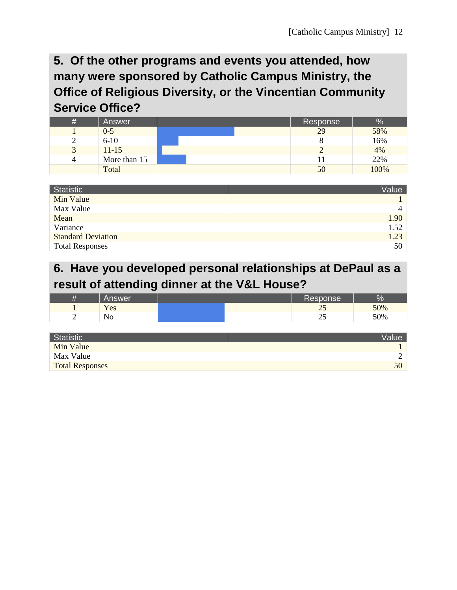### **5. Of the other programs and events you attended, how many were sponsored by Catholic Campus Ministry, the Office of Religious Diversity, or the Vincentian Community Service Office?**

| # | Answer       | Response | ℅    |
|---|--------------|----------|------|
|   | $0 - 5$      | 29       | 58%  |
|   | $6-10$       |          | 16%  |
|   | $11 - 15$    |          | 4%   |
|   | More than 15 |          | 22%  |
|   | Total        | 50       | 100% |

| <b>Statistic</b>          | Value          |
|---------------------------|----------------|
| Min Value                 |                |
| Max Value                 | $\overline{4}$ |
| Mean                      | 1.90           |
| Variance                  | 1.52           |
| <b>Standard Deviation</b> | 1.23           |
| <b>Total Responses</b>    | 50             |

### **6. Have you developed personal relationships at DePaul as a result of attending dinner at the V&L House?**

|   | <b>Answer</b>  |  | Response <sup>1</sup>    | σ   |
|---|----------------|--|--------------------------|-----|
|   | Yes            |  | $\overline{\phantom{a}}$ | 50% |
| - | N <sub>0</sub> |  | $\overline{\phantom{a}}$ | 50% |

| Statistic              | Value |
|------------------------|-------|
| Min Value              |       |
| Max Value              |       |
| <b>Total Responses</b> | 50    |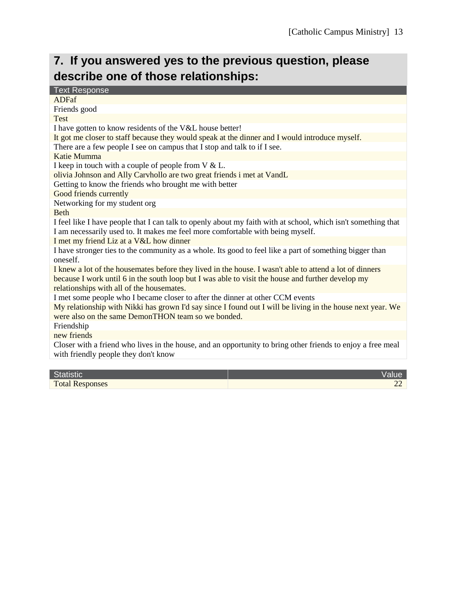# **7. If you answered yes to the previous question, please describe one of those relationships:**

| <b>Text Response</b>                                                                                                                                |
|-----------------------------------------------------------------------------------------------------------------------------------------------------|
| <b>ADFaf</b>                                                                                                                                        |
| Friends good                                                                                                                                        |
| <b>Test</b>                                                                                                                                         |
| I have gotten to know residents of the V&L house better!                                                                                            |
| It got me closer to staff because they would speak at the dinner and I would introduce myself.                                                      |
| There are a few people I see on campus that I stop and talk to if I see.                                                                            |
| <b>Katie Mumma</b>                                                                                                                                  |
| I keep in touch with a couple of people from $V &L$ .                                                                                               |
| olivia Johnson and Ally Carvhollo are two great friends i met at VandL                                                                              |
| Getting to know the friends who brought me with better                                                                                              |
| Good friends currently                                                                                                                              |
| Networking for my student org                                                                                                                       |
| <b>Beth</b>                                                                                                                                         |
| I feel like I have people that I can talk to openly about my faith with at school, which isn't something that                                       |
| I am necessarily used to. It makes me feel more comfortable with being myself.                                                                      |
| I met my friend Liz at a V&L how dinner                                                                                                             |
| I have stronger ties to the community as a whole. Its good to feel like a part of something bigger than<br>oneself.                                 |
| I knew a lot of the housemates before they lived in the house. I wasn't able to attend a lot of dinners                                             |
| because I work until 6 in the south loop but I was able to visit the house and further develop my<br>relationships with all of the housemates.      |
| I met some people who I became closer to after the dinner at other CCM events                                                                       |
| My relationship with Nikki has grown I'd say since I found out I will be living in the house next year. We                                          |
| were also on the same DemonTHON team so we bonded.                                                                                                  |
| Friendship                                                                                                                                          |
| new friends                                                                                                                                         |
| Closer with a friend who lives in the house, and an opportunity to bring other friends to enjoy a free meal<br>with friendly people they don't know |
|                                                                                                                                                     |

| <b>Statistic</b>       | Value |
|------------------------|-------|
| <b>Total Responses</b> |       |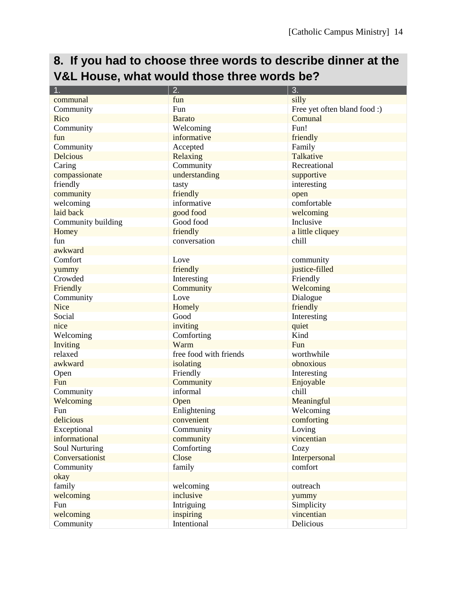## **8. If you had to choose three words to describe dinner at the V&L House, what would those three words be?**

| 1.                 | 2.                     | 3.                           |
|--------------------|------------------------|------------------------------|
| communal           | fun                    | silly                        |
| Community          | Fun                    | Free yet often bland food :) |
| Rico               | <b>Barato</b>          | Comunal                      |
| Community          | Welcoming              | Fun!                         |
| fun                | informative            | friendly                     |
| Community          | Accepted               | Family                       |
| <b>Delcious</b>    | Relaxing               | Talkative                    |
| Caring             | Community              | Recreational                 |
| compassionate      | understanding          | supportive                   |
| friendly           | tasty                  | interesting                  |
| community          | friendly               | open                         |
| welcoming          | informative            | comfortable                  |
| laid back          | good food              | welcoming                    |
| Community building | Good food              | Inclusive                    |
| Homey              | friendly               | a little cliquey             |
| fun                | conversation           | chill                        |
| awkward            |                        |                              |
| Comfort            | Love                   | community                    |
| yummy              | friendly               | justice-filled               |
| Crowded            | Interesting            | Friendly                     |
| Friendly           | Community              | Welcoming                    |
| Community          | Love                   | Dialogue                     |
| <b>Nice</b>        | Homely                 | friendly                     |
| Social             | Good                   | Interesting                  |
| nice               | inviting               | quiet                        |
| Welcoming          | Comforting             | Kind                         |
| Inviting           | Warm                   | Fun                          |
| relaxed            | free food with friends | worthwhile                   |
| awkward            | isolating              | obnoxious                    |
| Open               | Friendly               | Interesting                  |
| Fun                | Community              | Enjoyable                    |
| Community          | informal               | chill                        |
| Welcoming          | Open                   | Meaningful                   |
| Fun                | Enlightening           | Welcoming                    |
| delicious          | convenient             | comforting                   |
| Exceptional        | Community              | Loving                       |
| informational      | community              | vincentian                   |
| Soul Nurturing     | Comforting             | Cozy                         |
| Conversationist    | Close                  | Interpersonal                |
| Community          | family                 | comfort                      |
| okay               |                        |                              |
| family             | welcoming              | outreach                     |
| welcoming          | inclusive              | yummy                        |
| Fun                | Intriguing             | Simplicity                   |
| welcoming          | inspiring              | vincentian                   |
| Community          | Intentional            | Delicious                    |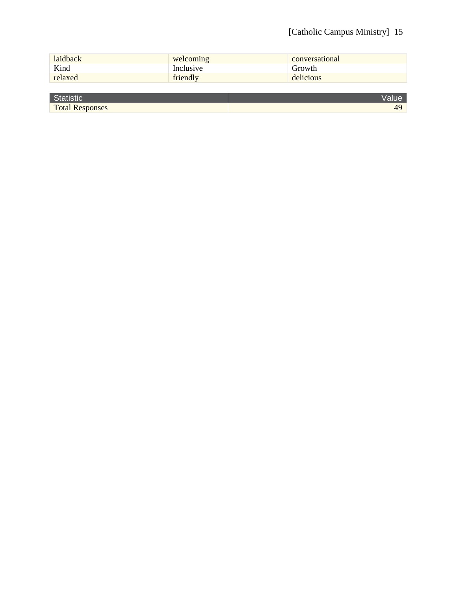### [Catholic Campus Ministry] 15

| laidback | welcoming | conversational |
|----------|-----------|----------------|
| Kind     | Inclusive | Growth         |
| relaxed  | friendly  | delicious      |
|          |           |                |

| $\sim$<br>"Gille.<br><b>Te</b> |        |
|--------------------------------|--------|
| <b>Total Responses</b>         | $\sim$ |